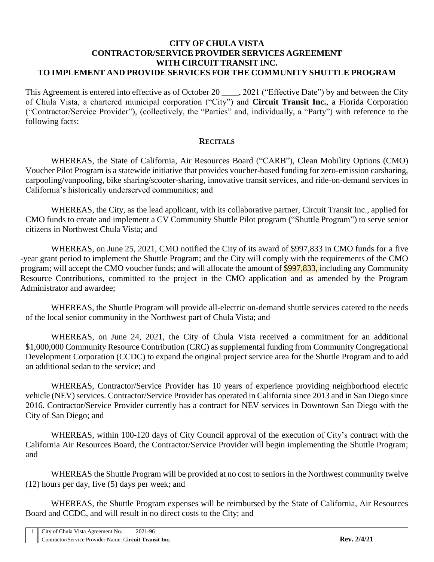#### **CITY OF CHULA VISTA CONTRACTOR/SERVICE PROVIDER SERVICES AGREEMENT WITH CIRCUIT TRANSIT INC. TO IMPLEMENT AND PROVIDE SERVICES FOR THE COMMUNITY SHUTTLE PROGRAM**

This Agreement is entered into effective as of October 20 \_\_\_\_, 2021 ("Effective Date") by and between the City of Chula Vista, a chartered municipal corporation ("City") and **Circuit Transit Inc.**, a Florida Corporation ("Contractor/Service Provider"), (collectively, the "Parties" and, individually, a "Party") with reference to the following facts:

#### **RECITALS**

WHEREAS, the State of California, Air Resources Board ("CARB"), Clean Mobility Options (CMO) Voucher Pilot Program is a statewide initiative that provides voucher-based funding for zero-emission carsharing, carpooling/vanpooling, bike sharing/scooter-sharing, innovative transit services, and ride-on-demand services in California's historically underserved communities; and

WHEREAS, the City, as the lead applicant, with its collaborative partner, Circuit Transit Inc., applied for CMO funds to create and implement a CV Community Shuttle Pilot program ("Shuttle Program") to serve senior citizens in Northwest Chula Vista; and

WHEREAS, on June 25, 2021, CMO notified the City of its award of \$997,833 in CMO funds for a five -year grant period to implement the Shuttle Program; and the City will comply with the requirements of the CMO program; will accept the CMO voucher funds; and will allocate the amount of \$997,833, including any Community Resource Contributions, committed to the project in the CMO application and as amended by the Program Administrator and awardee;

WHEREAS, the Shuttle Program will provide all-electric on-demand shuttle services catered to the needs of the local senior community in the Northwest part of Chula Vista; and

WHEREAS, on June 24, 2021, the City of Chula Vista received a commitment for an additional \$1,000,000 Community Resource Contribution (CRC) as supplemental funding from Community Congregational Development Corporation (CCDC) to expand the original project service area for the Shuttle Program and to add an additional sedan to the service; and

WHEREAS, Contractor/Service Provider has 10 years of experience providing neighborhood electric vehicle (NEV) services. Contractor/Service Provider has operated in California since 2013 and in San Diego since 2016. Contractor/Service Provider currently has a contract for NEV services in Downtown San Diego with the City of San Diego; and

WHEREAS, within 100-120 days of City Council approval of the execution of City's contract with the California Air Resources Board, the Contractor/Service Provider will begin implementing the Shuttle Program; and

WHEREAS the Shuttle Program will be provided at no cost to seniors in the Northwest community twelve (12) hours per day, five (5) days per week; and

WHEREAS, the Shuttle Program expenses will be reimbursed by the State of California, Air Resources Board and CCDC, and will result in no direct costs to the City; and

| 1   City of Chula Vista Agreement No.:                 | 2021-96 |             |
|--------------------------------------------------------|---------|-------------|
| Contractor/Service Provider Name: Circuit Transit Inc. |         | Rev. 2/4/21 |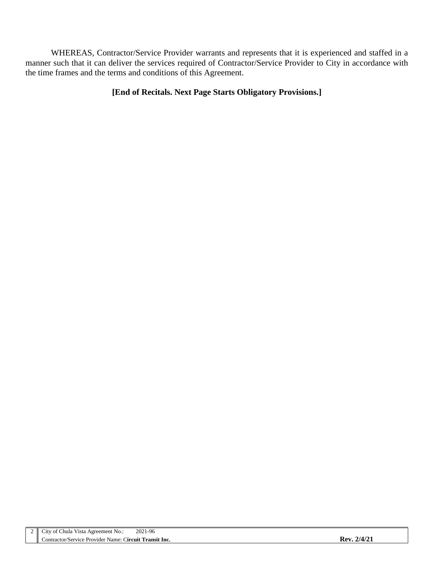WHEREAS, Contractor/Service Provider warrants and represents that it is experienced and staffed in a manner such that it can deliver the services required of Contractor/Service Provider to City in accordance with the time frames and the terms and conditions of this Agreement.

### **[End of Recitals. Next Page Starts Obligatory Provisions.]**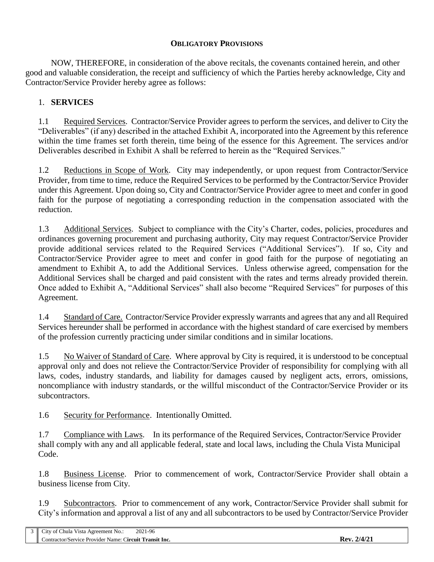### **OBLIGATORY PROVISIONS**

NOW, THEREFORE, in consideration of the above recitals, the covenants contained herein, and other good and valuable consideration, the receipt and sufficiency of which the Parties hereby acknowledge, City and Contractor/Service Provider hereby agree as follows:

## 1. **SERVICES**

1.1 Required Services. Contractor/Service Provider agrees to perform the services, and deliver to City the "Deliverables" (if any) described in the attached Exhibit A, incorporated into the Agreement by this reference within the time frames set forth therein, time being of the essence for this Agreement. The services and/or Deliverables described in Exhibit A shall be referred to herein as the "Required Services."

1.2 Reductions in Scope of Work.City may independently, or upon request from Contractor/Service Provider, from time to time, reduce the Required Services to be performed by the Contractor/Service Provider under this Agreement. Upon doing so, City and Contractor/Service Provider agree to meet and confer in good faith for the purpose of negotiating a corresponding reduction in the compensation associated with the reduction.

1.3 Additional Services.Subject to compliance with the City's Charter, codes, policies, procedures and ordinances governing procurement and purchasing authority, City may request Contractor/Service Provider provide additional services related to the Required Services ("Additional Services"). If so, City and Contractor/Service Provider agree to meet and confer in good faith for the purpose of negotiating an amendment to Exhibit A, to add the Additional Services. Unless otherwise agreed, compensation for the Additional Services shall be charged and paid consistent with the rates and terms already provided therein. Once added to Exhibit A, "Additional Services" shall also become "Required Services" for purposes of this Agreement.

1.4 Standard of Care. Contractor/Service Provider expressly warrants and agrees that any and all Required Services hereunder shall be performed in accordance with the highest standard of care exercised by members of the profession currently practicing under similar conditions and in similar locations.

1.5 No Waiver of Standard of Care. Where approval by City is required, it is understood to be conceptual approval only and does not relieve the Contractor/Service Provider of responsibility for complying with all laws, codes, industry standards, and liability for damages caused by negligent acts, errors, omissions, noncompliance with industry standards, or the willful misconduct of the Contractor/Service Provider or its subcontractors.

1.6 Security for Performance. Intentionally Omitted.

1.7 Compliance with Laws. In its performance of the Required Services, Contractor/Service Provider shall comply with any and all applicable federal, state and local laws, including the Chula Vista Municipal Code.

1.8 Business License. Prior to commencement of work, Contractor/Service Provider shall obtain a business license from City.

1.9 Subcontractors. Prior to commencement of any work, Contractor/Service Provider shall submit for City's information and approval a list of any and all subcontractors to be used by Contractor/Service Provider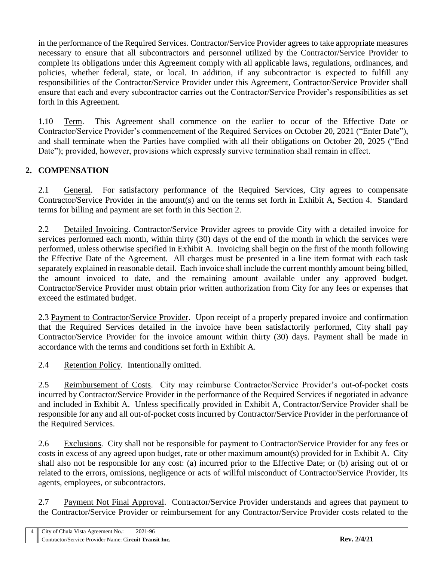in the performance of the Required Services. Contractor/Service Provider agrees to take appropriate measures necessary to ensure that all subcontractors and personnel utilized by the Contractor/Service Provider to complete its obligations under this Agreement comply with all applicable laws, regulations, ordinances, and policies, whether federal, state, or local. In addition, if any subcontractor is expected to fulfill any responsibilities of the Contractor/Service Provider under this Agreement, Contractor/Service Provider shall ensure that each and every subcontractor carries out the Contractor/Service Provider's responsibilities as set forth in this Agreement.

1.10 Term. This Agreement shall commence on the earlier to occur of the Effective Date or Contractor/Service Provider's commencement of the Required Services on October 20, 2021 ("Enter Date"), and shall terminate when the Parties have complied with all their obligations on October 20, 2025 ("End Date"); provided, however, provisions which expressly survive termination shall remain in effect.

# **2. COMPENSATION**

2.1 General. For satisfactory performance of the Required Services, City agrees to compensate Contractor/Service Provider in the amount(s) and on the terms set forth in Exhibit A, Section 4. Standard terms for billing and payment are set forth in this Section 2.

2.2 Detailed Invoicing. Contractor/Service Provider agrees to provide City with a detailed invoice for services performed each month, within thirty (30) days of the end of the month in which the services were performed, unless otherwise specified in Exhibit A. Invoicing shall begin on the first of the month following the Effective Date of the Agreement. All charges must be presented in a line item format with each task separately explained in reasonable detail. Each invoice shall include the current monthly amount being billed, the amount invoiced to date, and the remaining amount available under any approved budget. Contractor/Service Provider must obtain prior written authorization from City for any fees or expenses that exceed the estimated budget.

2.3 Payment to Contractor/Service Provider. Upon receipt of a properly prepared invoice and confirmation that the Required Services detailed in the invoice have been satisfactorily performed, City shall pay Contractor/Service Provider for the invoice amount within thirty (30) days. Payment shall be made in accordance with the terms and conditions set forth in Exhibit A.

2.4 Retention Policy. Intentionally omitted.

2.5 Reimbursement of Costs. City may reimburse Contractor/Service Provider's out-of-pocket costs incurred by Contractor/Service Provider in the performance of the Required Services if negotiated in advance and included in Exhibit A. Unless specifically provided in Exhibit A, Contractor/Service Provider shall be responsible for any and all out-of-pocket costs incurred by Contractor/Service Provider in the performance of the Required Services.

2.6 Exclusions. City shall not be responsible for payment to Contractor/Service Provider for any fees or costs in excess of any agreed upon budget, rate or other maximum amount(s) provided for in Exhibit A. City shall also not be responsible for any cost: (a) incurred prior to the Effective Date; or (b) arising out of or related to the errors, omissions, negligence or acts of willful misconduct of Contractor/Service Provider, its agents, employees, or subcontractors.

2.7 Payment Not Final Approval. Contractor/Service Provider understands and agrees that payment to the Contractor/Service Provider or reimbursement for any Contractor/Service Provider costs related to the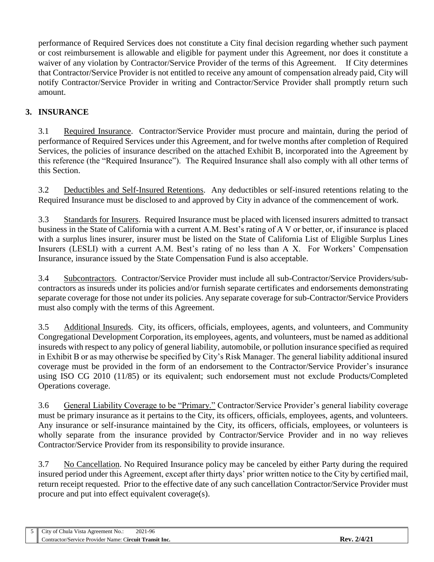performance of Required Services does not constitute a City final decision regarding whether such payment or cost reimbursement is allowable and eligible for payment under this Agreement, nor does it constitute a waiver of any violation by Contractor/Service Provider of the terms of this Agreement. If City determines that Contractor/Service Provider is not entitled to receive any amount of compensation already paid, City will notify Contractor/Service Provider in writing and Contractor/Service Provider shall promptly return such amount.

# **3. INSURANCE**

3.1 Required Insurance. Contractor/Service Provider must procure and maintain, during the period of performance of Required Services under this Agreement, and for twelve months after completion of Required Services, the policies of insurance described on the attached Exhibit B, incorporated into the Agreement by this reference (the "Required Insurance"). The Required Insurance shall also comply with all other terms of this Section.

3.2 Deductibles and Self-Insured Retentions. Any deductibles or self-insured retentions relating to the Required Insurance must be disclosed to and approved by City in advance of the commencement of work.

3.3 Standards for Insurers. Required Insurance must be placed with licensed insurers admitted to transact business in the State of California with a current A.M. Best's rating of A V or better, or, if insurance is placed with a surplus lines insurer, insurer must be listed on the State of California List of Eligible Surplus Lines Insurers (LESLI) with a current A.M. Best's rating of no less than A X. For Workers' Compensation Insurance, insurance issued by the State Compensation Fund is also acceptable.

3.4 Subcontractors. Contractor/Service Provider must include all sub-Contractor/Service Providers/subcontractors as insureds under its policies and/or furnish separate certificates and endorsements demonstrating separate coverage for those not under its policies. Any separate coverage for sub-Contractor/Service Providers must also comply with the terms of this Agreement.

3.5 Additional Insureds. City, its officers, officials, employees, agents, and volunteers, and Community Congregational Development Corporation, its employees, agents, and volunteers, must be named as additional insureds with respect to any policy of general liability, automobile, or pollution insurance specified as required in Exhibit B or as may otherwise be specified by City's Risk Manager. The general liability additional insured coverage must be provided in the form of an endorsement to the Contractor/Service Provider's insurance using ISO CG 2010 (11/85) or its equivalent; such endorsement must not exclude Products/Completed Operations coverage.

3.6 General Liability Coverage to be "Primary." Contractor/Service Provider's general liability coverage must be primary insurance as it pertains to the City, its officers, officials, employees, agents, and volunteers. Any insurance or self-insurance maintained by the City, its officers, officials, employees, or volunteers is wholly separate from the insurance provided by Contractor/Service Provider and in no way relieves Contractor/Service Provider from its responsibility to provide insurance.

3.7 No Cancellation. No Required Insurance policy may be canceled by either Party during the required insured period under this Agreement, except after thirty days' prior written notice to the City by certified mail, return receipt requested. Prior to the effective date of any such cancellation Contractor/Service Provider must procure and put into effect equivalent coverage(s).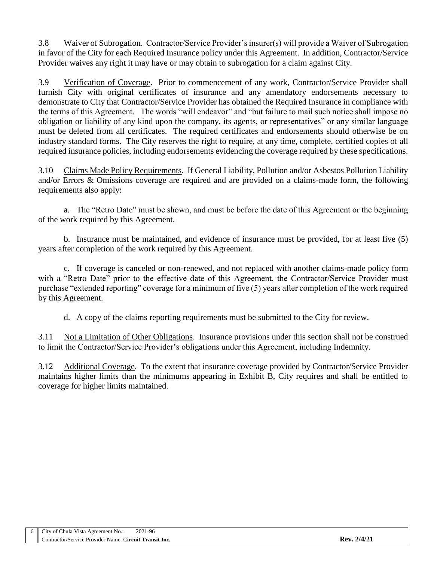3.8 Waiver of Subrogation. Contractor/Service Provider's insurer(s) will provide a Waiver of Subrogation in favor of the City for each Required Insurance policy under this Agreement. In addition, Contractor/Service Provider waives any right it may have or may obtain to subrogation for a claim against City.

3.9 Verification of Coverage. Prior to commencement of any work, Contractor/Service Provider shall furnish City with original certificates of insurance and any amendatory endorsements necessary to demonstrate to City that Contractor/Service Provider has obtained the Required Insurance in compliance with the terms of this Agreement. The words "will endeavor" and "but failure to mail such notice shall impose no obligation or liability of any kind upon the company, its agents, or representatives" or any similar language must be deleted from all certificates. The required certificates and endorsements should otherwise be on industry standard forms. The City reserves the right to require, at any time, complete, certified copies of all required insurance policies, including endorsements evidencing the coverage required by these specifications.

3.10 Claims Made Policy Requirements. If General Liability, Pollution and/or Asbestos Pollution Liability and/or Errors & Omissions coverage are required and are provided on a claims-made form, the following requirements also apply:

a. The "Retro Date" must be shown, and must be before the date of this Agreement or the beginning of the work required by this Agreement.

b. Insurance must be maintained, and evidence of insurance must be provided, for at least five (5) years after completion of the work required by this Agreement.

c. If coverage is canceled or non-renewed, and not replaced with another claims-made policy form with a "Retro Date" prior to the effective date of this Agreement, the Contractor/Service Provider must purchase "extended reporting" coverage for a minimum of five (5) years after completion of the work required by this Agreement.

d. A copy of the claims reporting requirements must be submitted to the City for review.

3.11 Not a Limitation of Other Obligations. Insurance provisions under this section shall not be construed to limit the Contractor/Service Provider's obligations under this Agreement, including Indemnity.

3.12 Additional Coverage. To the extent that insurance coverage provided by Contractor/Service Provider maintains higher limits than the minimums appearing in Exhibit B, City requires and shall be entitled to coverage for higher limits maintained.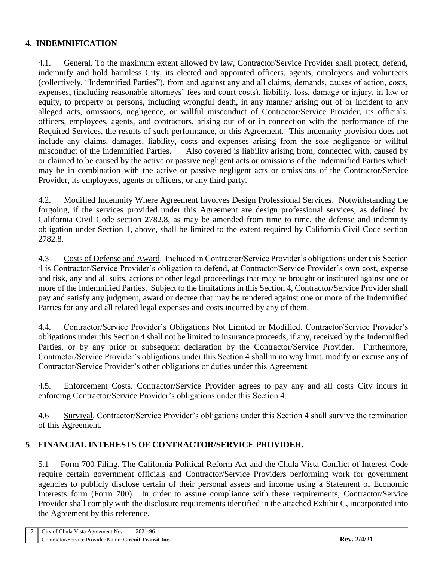## **4. INDEMNIFICATION**

4.1. General. To the maximum extent allowed by law, Contractor/Service Provider shall protect, defend, indemnify and hold harmless City, its elected and appointed officers, agents, employees and volunteers (collectively, "Indemnified Parties"), from and against any and all claims, demands, causes of action, costs, expenses, (including reasonable attorneys' fees and court costs), liability, loss, damage or injury, in law or equity, to property or persons, including wrongful death, in any manner arising out of or incident to any alleged acts, omissions, negligence, or willful misconduct of Contractor/Service Provider, its officials, officers, employees, agents, and contractors, arising out of or in connection with the performance of the Required Services, the results of such performance, or this Agreement. This indemnity provision does not include any claims, damages, liability, costs and expenses arising from the sole negligence or willful misconduct of the Indemnified Parties. Also covered is liability arising from, connected with, caused by or claimed to be caused by the active or passive negligent acts or omissions of the Indemnified Parties which may be in combination with the active or passive negligent acts or omissions of the Contractor/Service Provider, its employees, agents or officers, or any third party.

4.2. Modified Indemnity Where Agreement Involves Design Professional Services. Notwithstanding the forgoing, if the services provided under this Agreement are design professional services, as defined by California Civil Code section 2782.8, as may be amended from time to time, the defense and indemnity obligation under Section 1, above, shall be limited to the extent required by California Civil Code section 2782.8.

4.3 Costs of Defense and Award. Included in Contractor/Service Provider's obligations under this Section 4 is Contractor/Service Provider's obligation to defend, at Contractor/Service Provider's own cost, expense and risk, any and all suits, actions or other legal proceedings that may be brought or instituted against one or more of the Indemnified Parties. Subject to the limitations in this Section 4, Contractor/Service Provider shall pay and satisfy any judgment, award or decree that may be rendered against one or more of the Indemnified Parties for any and all related legal expenses and costs incurred by any of them.

4.4. Contractor/Service Provider's Obligations Not Limited or Modified. Contractor/Service Provider's obligations under this Section 4 shall not be limited to insurance proceeds, if any, received by the Indemnified Parties, or by any prior or subsequent declaration by the Contractor/Service Provider. Furthermore, Contractor/Service Provider's obligations under this Section 4 shall in no way limit, modify or excuse any of Contractor/Service Provider's other obligations or duties under this Agreement.

4.5. Enforcement Costs. Contractor/Service Provider agrees to pay any and all costs City incurs in enforcing Contractor/Service Provider's obligations under this Section 4.

4.6 Survival. Contractor/Service Provider's obligations under this Section 4 shall survive the termination of this Agreement.

## **5**. **FINANCIAL INTERESTS OF CONTRACTOR/SERVICE PROVIDER.**

5.1 Form 700 Filing. The California Political Reform Act and the Chula Vista Conflict of Interest Code require certain government officials and Contractor/Service Providers performing work for government agencies to publicly disclose certain of their personal assets and income using a Statement of Economic Interests form (Form 700). In order to assure compliance with these requirements, Contractor/Service Provider shall comply with the disclosure requirements identified in the attached Exhibit C, incorporated into the Agreement by this reference.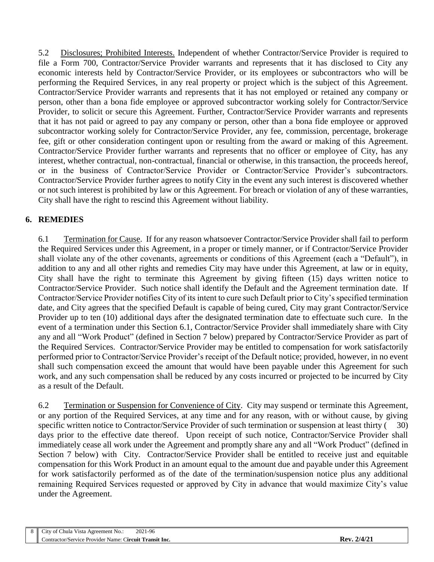5.2 Disclosures; Prohibited Interests. Independent of whether Contractor/Service Provider is required to file a Form 700, Contractor/Service Provider warrants and represents that it has disclosed to City any economic interests held by Contractor/Service Provider, or its employees or subcontractors who will be performing the Required Services, in any real property or project which is the subject of this Agreement. Contractor/Service Provider warrants and represents that it has not employed or retained any company or person, other than a bona fide employee or approved subcontractor working solely for Contractor/Service Provider, to solicit or secure this Agreement. Further, Contractor/Service Provider warrants and represents that it has not paid or agreed to pay any company or person, other than a bona fide employee or approved subcontractor working solely for Contractor/Service Provider, any fee, commission, percentage, brokerage fee, gift or other consideration contingent upon or resulting from the award or making of this Agreement. Contractor/Service Provider further warrants and represents that no officer or employee of City, has any interest, whether contractual, non-contractual, financial or otherwise, in this transaction, the proceeds hereof, or in the business of Contractor/Service Provider or Contractor/Service Provider's subcontractors. Contractor/Service Provider further agrees to notify City in the event any such interest is discovered whether or not such interest is prohibited by law or this Agreement. For breach or violation of any of these warranties, City shall have the right to rescind this Agreement without liability.

## **6. REMEDIES**

6.1 Termination for Cause. If for any reason whatsoever Contractor/Service Provider shall fail to perform the Required Services under this Agreement, in a proper or timely manner, or if Contractor/Service Provider shall violate any of the other covenants, agreements or conditions of this Agreement (each a "Default"), in addition to any and all other rights and remedies City may have under this Agreement, at law or in equity, City shall have the right to terminate this Agreement by giving fifteen (15) days written notice to Contractor/Service Provider. Such notice shall identify the Default and the Agreement termination date. If Contractor/Service Provider notifies City of its intent to cure such Default prior to City's specified termination date, and City agrees that the specified Default is capable of being cured, City may grant Contractor/Service Provider up to ten (10) additional days after the designated termination date to effectuate such cure. In the event of a termination under this Section 6.1, Contractor/Service Provider shall immediately share with City any and all "Work Product" (defined in Section 7 below) prepared by Contractor/Service Provider as part of the Required Services. Contractor/Service Provider may be entitled to compensation for work satisfactorily performed prior to Contractor/Service Provider's receipt of the Default notice; provided, however, in no event shall such compensation exceed the amount that would have been payable under this Agreement for such work, and any such compensation shall be reduced by any costs incurred or projected to be incurred by City as a result of the Default.

6.2 Termination or Suspension for Convenience of City. City may suspend or terminate this Agreement, or any portion of the Required Services, at any time and for any reason, with or without cause, by giving specific written notice to Contractor/Service Provider of such termination or suspension at least thirty ( 30) days prior to the effective date thereof. Upon receipt of such notice, Contractor/Service Provider shall immediately cease all work under the Agreement and promptly share any and all "Work Product" (defined in Section 7 below) with City. Contractor/Service Provider shall be entitled to receive just and equitable compensation for this Work Product in an amount equal to the amount due and payable under this Agreement for work satisfactorily performed as of the date of the termination/suspension notice plus any additional remaining Required Services requested or approved by City in advance that would maximize City's value under the Agreement.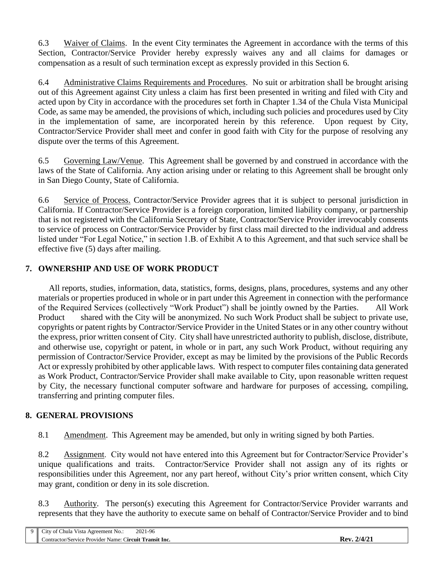6.3 Waiver of Claims. In the event City terminates the Agreement in accordance with the terms of this Section, Contractor/Service Provider hereby expressly waives any and all claims for damages or compensation as a result of such termination except as expressly provided in this Section 6.

6.4 Administrative Claims Requirements and Procedures. No suit or arbitration shall be brought arising out of this Agreement against City unless a claim has first been presented in writing and filed with City and acted upon by City in accordance with the procedures set forth in Chapter 1.34 of the Chula Vista Municipal Code, as same may be amended, the provisions of which, including such policies and procedures used by City in the implementation of same, are incorporated herein by this reference. Upon request by City, Contractor/Service Provider shall meet and confer in good faith with City for the purpose of resolving any dispute over the terms of this Agreement.

6.5 Governing Law/Venue. This Agreement shall be governed by and construed in accordance with the laws of the State of California. Any action arising under or relating to this Agreement shall be brought only in San Diego County, State of California.

6.6 Service of Process. Contractor/Service Provider agrees that it is subject to personal jurisdiction in California. If Contractor/Service Provider is a foreign corporation, limited liability company, or partnership that is not registered with the California Secretary of State, Contractor/Service Provider irrevocably consents to service of process on Contractor/Service Provider by first class mail directed to the individual and address listed under "For Legal Notice," in section 1.B. of Exhibit A to this Agreement, and that such service shall be effective five (5) days after mailing.

## **7. OWNERSHIP AND USE OF WORK PRODUCT**

 All reports, studies, information, data, statistics, forms, designs, plans, procedures, systems and any other materials or properties produced in whole or in part under this Agreement in connection with the performance of the Required Services (collectively "Work Product") shall be jointly owned by the Parties. All Work Product shared with the City will be anonymized. No such Work Product shall be subject to private use, copyrights or patent rights by Contractor/Service Provider in the United States or in any other country without the express, prior written consent of City. City shall have unrestricted authority to publish, disclose, distribute, and otherwise use, copyright or patent, in whole or in part, any such Work Product, without requiring any permission of Contractor/Service Provider, except as may be limited by the provisions of the Public Records Act or expressly prohibited by other applicable laws. With respect to computer files containing data generated as Work Product, Contractor/Service Provider shall make available to City, upon reasonable written request by City, the necessary functional computer software and hardware for purposes of accessing, compiling, transferring and printing computer files.

## **8. GENERAL PROVISIONS**

8.1 Amendment. This Agreement may be amended, but only in writing signed by both Parties.

8.2 Assignment. City would not have entered into this Agreement but for Contractor/Service Provider's unique qualifications and traits. Contractor/Service Provider shall not assign any of its rights or responsibilities under this Agreement, nor any part hereof, without City's prior written consent, which City may grant, condition or deny in its sole discretion.

8.3 Authority. The person(s) executing this Agreement for Contractor/Service Provider warrants and represents that they have the authority to execute same on behalf of Contractor/Service Provider and to bind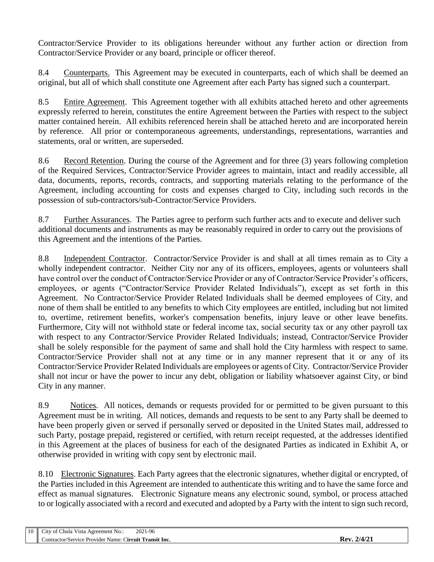Contractor/Service Provider to its obligations hereunder without any further action or direction from Contractor/Service Provider or any board, principle or officer thereof.

8.4 Counterparts. This Agreement may be executed in counterparts, each of which shall be deemed an original, but all of which shall constitute one Agreement after each Party has signed such a counterpart.

8.5 Entire Agreement. This Agreement together with all exhibits attached hereto and other agreements expressly referred to herein, constitutes the entire Agreement between the Parties with respect to the subject matter contained herein. All exhibits referenced herein shall be attached hereto and are incorporated herein by reference. All prior or contemporaneous agreements, understandings, representations, warranties and statements, oral or written, are superseded.

8.6 Record Retention. During the course of the Agreement and for three (3) years following completion of the Required Services, Contractor/Service Provider agrees to maintain, intact and readily accessible, all data, documents, reports, records, contracts, and supporting materials relating to the performance of the Agreement, including accounting for costs and expenses charged to City, including such records in the possession of sub-contractors/sub-Contractor/Service Providers.

8.7 Further Assurances. The Parties agree to perform such further acts and to execute and deliver such additional documents and instruments as may be reasonably required in order to carry out the provisions of this Agreement and the intentions of the Parties.

8.8 Independent Contractor. Contractor/Service Provider is and shall at all times remain as to City a wholly independent contractor. Neither City nor any of its officers, employees, agents or volunteers shall have control over the conduct of Contractor/Service Provider or any of Contractor/Service Provider's officers, employees, or agents ("Contractor/Service Provider Related Individuals"), except as set forth in this Agreement. No Contractor/Service Provider Related Individuals shall be deemed employees of City, and none of them shall be entitled to any benefits to which City employees are entitled, including but not limited to, overtime, retirement benefits, worker's compensation benefits, injury leave or other leave benefits. Furthermore, City will not withhold state or federal income tax, social security tax or any other payroll tax with respect to any Contractor/Service Provider Related Individuals; instead, Contractor/Service Provider shall be solely responsible for the payment of same and shall hold the City harmless with respect to same. Contractor/Service Provider shall not at any time or in any manner represent that it or any of its Contractor/Service Provider Related Individuals are employees or agents of City. Contractor/Service Provider shall not incur or have the power to incur any debt, obligation or liability whatsoever against City, or bind City in any manner.

8.9 Notices. All notices, demands or requests provided for or permitted to be given pursuant to this Agreement must be in writing. All notices, demands and requests to be sent to any Party shall be deemed to have been properly given or served if personally served or deposited in the United States mail, addressed to such Party, postage prepaid, registered or certified, with return receipt requested, at the addresses identified in this Agreement at the places of business for each of the designated Parties as indicated in Exhibit A, or otherwise provided in writing with copy sent by electronic mail.

8.10 Electronic Signatures. Each Party agrees that the electronic signatures, whether digital or encrypted, of the Parties included in this Agreement are intended to authenticate this writing and to have the same force and effect as manual signatures. Electronic Signature means any electronic sound, symbol, or process attached to or logically associated with a record and executed and adopted by a Party with the intent to sign such record,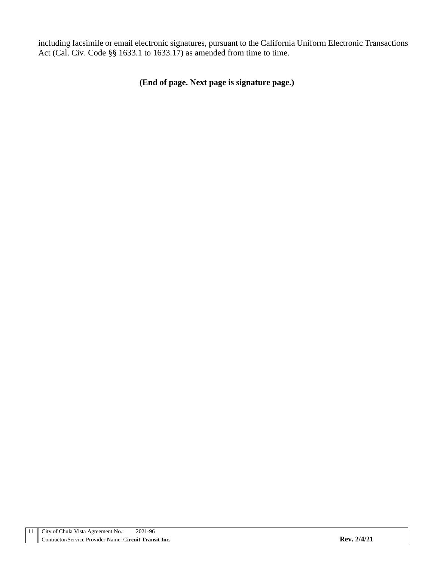including facsimile or email electronic signatures, pursuant to the California Uniform Electronic Transactions Act (Cal. Civ. Code §§ 1633.1 to 1633.17) as amended from time to time.

**(End of page. Next page is signature page.)**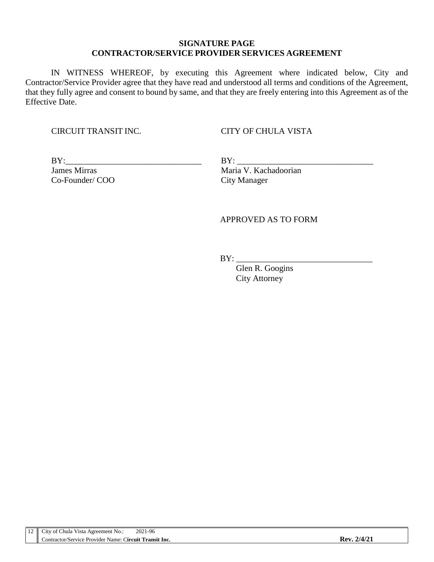#### **SIGNATURE PAGE CONTRACTOR/SERVICE PROVIDER SERVICES AGREEMENT**

IN WITNESS WHEREOF, by executing this Agreement where indicated below, City and Contractor/Service Provider agree that they have read and understood all terms and conditions of the Agreement, that they fully agree and consent to bound by same, and that they are freely entering into this Agreement as of the Effective Date.

#### CIRCUIT TRANSIT INC. CITY OF CHULA VISTA

 $BY:$ 

James Mirras Maria V. Kachadoorian Co-Founder/ COO City Manager

#### APPROVED AS TO FORM

 $BY:$ 

 Glen R. Googins City Attorney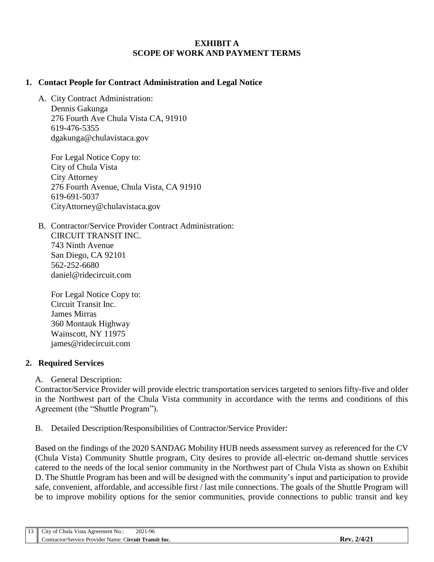#### **EXHIBIT A SCOPE OF WORK AND PAYMENT TERMS**

#### **1. Contact People for Contract Administration and Legal Notice**

A. City Contract Administration: Dennis Gakunga 276 Fourth Ave Chula Vista CA, 91910 619-476-5355 dgakunga@chulavistaca.gov

For Legal Notice Copy to: City of Chula Vista City Attorney 276 Fourth Avenue, Chula Vista, CA 91910 619-691-5037 CityAttorney@chulavistaca.gov

B. Contractor/Service Provider Contract Administration: CIRCUIT TRANSIT INC. 743 Ninth Avenue San Diego, CA 92101 562-252-6680 daniel@ridecircuit.com

For Legal Notice Copy to: Circuit Transit Inc. James Mirras 360 Montauk Highway Wainscott, NY 11975 james@ridecircuit.com

#### **2. Required Services**

A. General Description:

Contractor/Service Provider will provide electric transportation services targeted to seniors fifty-five and older in the Northwest part of the Chula Vista community in accordance with the terms and conditions of this Agreement (the "Shuttle Program").

B. Detailed Description/Responsibilities of Contractor/Service Provider:

Based on the findings of the 2020 SANDAG Mobility HUB needs assessment survey as referenced for the CV (Chula Vista) Community Shuttle program, City desires to provide all-electric on-demand shuttle services catered to the needs of the local senior community in the Northwest part of Chula Vista as shown on Exhibit D. The Shuttle Program has been and will be designed with the community's input and participation to provide safe, convenient, affordable, and accessible first / last mile connections. The goals of the Shuttle Program will be to improve mobility options for the senior communities, provide connections to public transit and key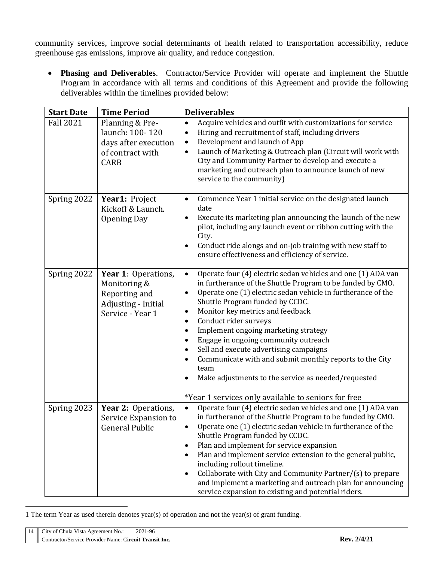community services, improve social determinants of health related to transportation accessibility, reduce greenhouse gas emissions, improve air quality, and reduce congestion.

 **Phasing and Deliverables**. Contractor/Service Provider will operate and implement the Shuttle Program in accordance with all terms and conditions of this Agreement and provide the following deliverables within the timelines provided below:

| <b>Start Date</b> | <b>Time Period</b>                                                                              | <b>Deliverables</b>                                                                                                                                                                                                                                                                                                                                                                                                                                                                                                                                                                                                                                                                                           |  |
|-------------------|-------------------------------------------------------------------------------------------------|---------------------------------------------------------------------------------------------------------------------------------------------------------------------------------------------------------------------------------------------------------------------------------------------------------------------------------------------------------------------------------------------------------------------------------------------------------------------------------------------------------------------------------------------------------------------------------------------------------------------------------------------------------------------------------------------------------------|--|
| <b>Fall 2021</b>  | Planning & Pre-<br>launch: 100-120<br>days after execution<br>of contract with<br><b>CARB</b>   | Acquire vehicles and outfit with customizations for service<br>$\bullet$<br>Hiring and recruitment of staff, including drivers<br>$\bullet$<br>Development and launch of App<br>$\bullet$<br>Launch of Marketing & Outreach plan (Circuit will work with<br>$\bullet$<br>City and Community Partner to develop and execute a<br>marketing and outreach plan to announce launch of new<br>service to the community)                                                                                                                                                                                                                                                                                            |  |
| Spring 2022       | Year1: Project<br>Kickoff & Launch.<br><b>Opening Day</b>                                       | Commence Year 1 initial service on the designated launch<br>$\bullet$<br>date<br>Execute its marketing plan announcing the launch of the new<br>$\bullet$<br>pilot, including any launch event or ribbon cutting with the<br>City.<br>Conduct ride alongs and on-job training with new staff to<br>$\bullet$<br>ensure effectiveness and efficiency of service.                                                                                                                                                                                                                                                                                                                                               |  |
| Spring 2022       | Year 1: Operations,<br>Monitoring &<br>Reporting and<br>Adjusting - Initial<br>Service - Year 1 | Operate four (4) electric sedan vehicles and one (1) ADA van<br>$\bullet$<br>in furtherance of the Shuttle Program to be funded by CMO.<br>Operate one (1) electric sedan vehicle in furtherance of the<br>$\bullet$<br>Shuttle Program funded by CCDC.<br>Monitor key metrics and feedback<br>$\bullet$<br>Conduct rider surveys<br>$\bullet$<br>Implement ongoing marketing strategy<br>$\bullet$<br>Engage in ongoing community outreach<br>$\bullet$<br>Sell and execute advertising campaigns<br>$\bullet$<br>Communicate with and submit monthly reports to the City<br>$\bullet$<br>team<br>Make adjustments to the service as needed/requested<br>*Year 1 services only available to seniors for free |  |
| Spring 2023       | Year 2: Operations,<br>Service Expansion to<br><b>General Public</b>                            | Operate four (4) electric sedan vehicles and one (1) ADA van<br>in furtherance of the Shuttle Program to be funded by CMO.<br>Operate one (1) electric sedan vehicle in furtherance of the<br>$\bullet$<br>Shuttle Program funded by CCDC.<br>Plan and implement for service expansion<br>٠<br>Plan and implement service extension to the general public,<br>including rollout timeline.<br>Collaborate with City and Community Partner/(s) to prepare<br>$\bullet$<br>and implement a marketing and outreach plan for announcing<br>service expansion to existing and potential riders.                                                                                                                     |  |

<sup>1</sup> The term Year as used therein denotes year(s) of operation and not the year(s) of grant funding.

 $\overline{a}$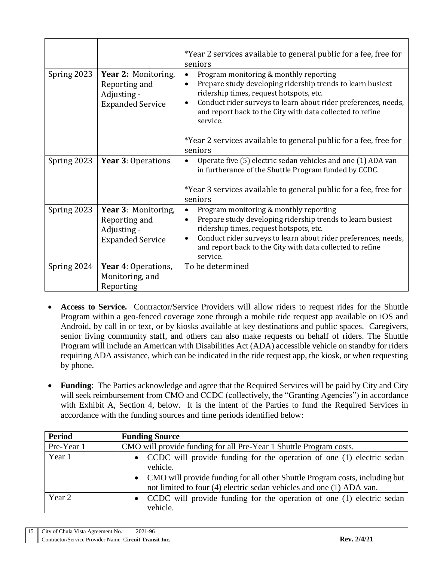|             |                                                                                | *Year 2 services available to general public for a fee, free for<br>seniors                                                                                                                                                                                                                                                                                               |  |
|-------------|--------------------------------------------------------------------------------|---------------------------------------------------------------------------------------------------------------------------------------------------------------------------------------------------------------------------------------------------------------------------------------------------------------------------------------------------------------------------|--|
| Spring 2023 | Year 2: Monitoring,<br>Reporting and<br>Adjusting -<br><b>Expanded Service</b> | Program monitoring & monthly reporting<br>Prepare study developing ridership trends to learn busiest<br>ridership times, request hotspots, etc.<br>Conduct rider surveys to learn about rider preferences, needs,<br>and report back to the City with data collected to refine<br>service.<br>*Year 2 services available to general public for a fee, free for<br>seniors |  |
| Spring 2023 | Year 3: Operations                                                             | Operate five (5) electric sedan vehicles and one (1) ADA van<br>$\bullet$<br>in furtherance of the Shuttle Program funded by CCDC.<br>*Year 3 services available to general public for a fee, free for<br>seniors                                                                                                                                                         |  |
| Spring 2023 | Year 3: Monitoring,<br>Reporting and<br>Adjusting -<br><b>Expanded Service</b> | Program monitoring & monthly reporting<br>Prepare study developing ridership trends to learn busiest<br>$\bullet$<br>ridership times, request hotspots, etc.<br>Conduct rider surveys to learn about rider preferences, needs,<br>$\bullet$<br>and report back to the City with data collected to refine<br>service.                                                      |  |
| Spring 2024 | Year 4: Operations,<br>Monitoring, and<br>Reporting                            | To be determined                                                                                                                                                                                                                                                                                                                                                          |  |

- **Access to Service.** Contractor/Service Providers will allow riders to request rides for the Shuttle Program within a geo-fenced coverage zone through a mobile ride request app available on iOS and Android, by call in or text, or by kiosks available at key destinations and public spaces. Caregivers, senior living community staff, and others can also make requests on behalf of riders. The Shuttle Program will include an American with Disabilities Act (ADA) accessible vehicle on standby for riders requiring ADA assistance, which can be indicated in the ride request app, the kiosk, or when requesting by phone.
- **Funding**: The Parties acknowledge and agree that the Required Services will be paid by City and City will seek reimbursement from CMO and CCDC (collectively, the "Granting Agencies") in accordance with Exhibit A, Section 4, below. It is the intent of the Parties to fund the Required Services in accordance with the funding sources and time periods identified below:

| <b>Period</b> | <b>Funding Source</b>                                                                                                                                 |  |  |
|---------------|-------------------------------------------------------------------------------------------------------------------------------------------------------|--|--|
| Pre-Year 1    | CMO will provide funding for all Pre-Year 1 Shuttle Program costs.                                                                                    |  |  |
| Year 1        | • CCDC will provide funding for the operation of one (1) electric sedan<br>vehicle.                                                                   |  |  |
|               | • CMO will provide funding for all other Shuttle Program costs, including but<br>not limited to four (4) electric sedan vehicles and one (1) ADA van. |  |  |
| Year 2        | • CCDC will provide funding for the operation of one (1) electric sedan<br>vehicle.                                                                   |  |  |

| 15 <sup>2</sup> | $\mathbf{v}$<br>: Chula Vista Agreement No.:<br>$\mathcal{L}1\mathcal{U}$<br>' OI | 2021-96 |             |
|-----------------|-----------------------------------------------------------------------------------|---------|-------------|
|                 | Contractor/Service Provider Name: Circuit Transit Inc.                            |         | 14/2<br>JAV |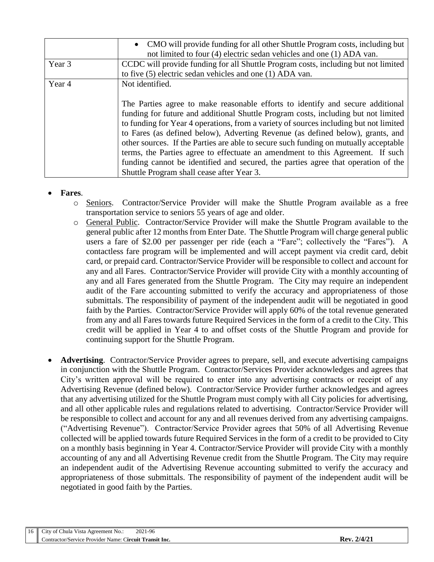|                           | • CMO will provide funding for all other Shuttle Program costs, including but<br>not limited to four (4) electric sedan vehicles and one (1) ADA van.                                                                                                                                                                                                                                                                                                                                                                                                                                                                                                       |
|---------------------------|-------------------------------------------------------------------------------------------------------------------------------------------------------------------------------------------------------------------------------------------------------------------------------------------------------------------------------------------------------------------------------------------------------------------------------------------------------------------------------------------------------------------------------------------------------------------------------------------------------------------------------------------------------------|
| Year 3                    | CCDC will provide funding for all Shuttle Program costs, including but not limited                                                                                                                                                                                                                                                                                                                                                                                                                                                                                                                                                                          |
|                           | to five (5) electric sedan vehicles and one (1) ADA van.                                                                                                                                                                                                                                                                                                                                                                                                                                                                                                                                                                                                    |
| Not identified.<br>Year 4 |                                                                                                                                                                                                                                                                                                                                                                                                                                                                                                                                                                                                                                                             |
|                           | The Parties agree to make reasonable efforts to identify and secure additional<br>funding for future and additional Shuttle Program costs, including but not limited<br>to funding for Year 4 operations, from a variety of sources including but not limited<br>to Fares (as defined below), Adverting Revenue (as defined below), grants, and<br>other sources. If the Parties are able to secure such funding on mutually acceptable<br>terms, the Parties agree to effectuate an amendment to this Agreement. If such<br>funding cannot be identified and secured, the parties agree that operation of the<br>Shuttle Program shall cease after Year 3. |

#### **Fares**.

- o Seniors. Contractor/Service Provider will make the Shuttle Program available as a free transportation service to seniors 55 years of age and older.
- o General Public. Contractor/Service Provider will make the Shuttle Program available to the general public after 12 months from Enter Date. The Shuttle Program will charge general public users a fare of \$2.00 per passenger per ride (each a "Fare"; collectively the "Fares"). A contactless fare program will be implemented and will accept payment via credit card, debit card, or prepaid card. Contractor/Service Provider will be responsible to collect and account for any and all Fares. Contractor/Service Provider will provide City with a monthly accounting of any and all Fares generated from the Shuttle Program. The City may require an independent audit of the Fare accounting submitted to verify the accuracy and appropriateness of those submittals. The responsibility of payment of the independent audit will be negotiated in good faith by the Parties. Contractor/Service Provider will apply 60% of the total revenue generated from any and all Fares towards future Required Services in the form of a credit to the City. This credit will be applied in Year 4 to and offset costs of the Shuttle Program and provide for continuing support for the Shuttle Program.
- **Advertising**. Contractor/Service Provider agrees to prepare, sell, and execute advertising campaigns in conjunction with the Shuttle Program. Contractor/Services Provider acknowledges and agrees that City's written approval will be required to enter into any advertising contracts or receipt of any Advertising Revenue (defined below). Contractor/Service Provider further acknowledges and agrees that any advertising utilized for the Shuttle Program must comply with all City policies for advertising, and all other applicable rules and regulations related to advertising. Contractor/Service Provider will be responsible to collect and account for any and all revenues derived from any advertising campaigns. ("Advertising Revenue"). Contractor/Service Provider agrees that 50% of all Advertising Revenue collected will be applied towards future Required Services in the form of a credit to be provided to City on a monthly basis beginning in Year 4. Contractor/Service Provider will provide City with a monthly accounting of any and all Advertising Revenue credit from the Shuttle Program. The City may require an independent audit of the Advertising Revenue accounting submitted to verify the accuracy and appropriateness of those submittals. The responsibility of payment of the independent audit will be negotiated in good faith by the Parties.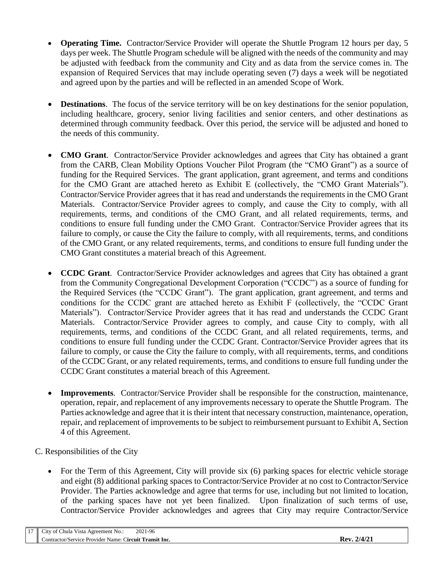- **Operating Time.** Contractor/Service Provider will operate the Shuttle Program 12 hours per day, 5 days per week. The Shuttle Program schedule will be aligned with the needs of the community and may be adjusted with feedback from the community and City and as data from the service comes in. The expansion of Required Services that may include operating seven (7) days a week will be negotiated and agreed upon by the parties and will be reflected in an amended Scope of Work.
- **Destinations**. The focus of the service territory will be on key destinations for the senior population, including healthcare, grocery, senior living facilities and senior centers, and other destinations as determined through community feedback. Over this period, the service will be adjusted and honed to the needs of this community.
- **CMO Grant**. Contractor/Service Provider acknowledges and agrees that City has obtained a grant from the CARB, Clean Mobility Options Voucher Pilot Program (the "CMO Grant") as a source of funding for the Required Services. The grant application, grant agreement, and terms and conditions for the CMO Grant are attached hereto as Exhibit E (collectively, the "CMO Grant Materials"). Contractor/Service Provider agrees that it has read and understands the requirements in the CMO Grant Materials. Contractor/Service Provider agrees to comply, and cause the City to comply, with all requirements, terms, and conditions of the CMO Grant, and all related requirements, terms, and conditions to ensure full funding under the CMO Grant. Contractor/Service Provider agrees that its failure to comply, or cause the City the failure to comply, with all requirements, terms, and conditions of the CMO Grant, or any related requirements, terms, and conditions to ensure full funding under the CMO Grant constitutes a material breach of this Agreement.
- **CCDC Grant**. Contractor/Service Provider acknowledges and agrees that City has obtained a grant from the Community Congregational Development Corporation ("CCDC") as a source of funding for the Required Services (the "CCDC Grant"). The grant application, grant agreement, and terms and conditions for the CCDC grant are attached hereto as Exhibit F (collectively, the "CCDC Grant Materials"). Contractor/Service Provider agrees that it has read and understands the CCDC Grant Materials. Contractor/Service Provider agrees to comply, and cause City to comply, with all requirements, terms, and conditions of the CCDC Grant, and all related requirements, terms, and conditions to ensure full funding under the CCDC Grant. Contractor/Service Provider agrees that its failure to comply, or cause the City the failure to comply, with all requirements, terms, and conditions of the CCDC Grant, or any related requirements, terms, and conditions to ensure full funding under the CCDC Grant constitutes a material breach of this Agreement.
- **Improvements**. Contractor/Service Provider shall be responsible for the construction, maintenance, operation, repair, and replacement of any improvements necessary to operate the Shuttle Program. The Parties acknowledge and agree that it is their intent that necessary construction, maintenance, operation, repair, and replacement of improvements to be subject to reimbursement pursuant to Exhibit A, Section 4 of this Agreement.
- C. Responsibilities of the City
	- For the Term of this Agreement, City will provide six (6) parking spaces for electric vehicle storage and eight (8) additional parking spaces to Contractor/Service Provider at no cost to Contractor/Service Provider. The Parties acknowledge and agree that terms for use, including but not limited to location, of the parking spaces have not yet been finalized. Upon finalization of such terms of use, Contractor/Service Provider acknowledges and agrees that City may require Contractor/Service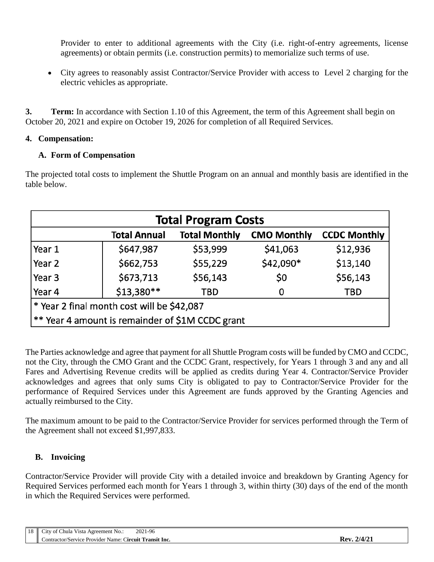Provider to enter to additional agreements with the City (i.e. right-of-entry agreements, license agreements) or obtain permits (i.e. construction permits) to memorialize such terms of use.

 City agrees to reasonably assist Contractor/Service Provider with access to Level 2 charging for the electric vehicles as appropriate.

**3. Term:** In accordance with Section 1.10 of this Agreement, the term of this Agreement shall begin on October 20, 2021 and expire on October 19, 2026 for completion of all Required Services.

#### **4. Compensation:**

## **A. Form of Compensation**

The projected total costs to implement the Shuttle Program on an annual and monthly basis are identified in the table below.

| <b>Total Program Costs</b>                       |                     |                      |                    |                     |
|--------------------------------------------------|---------------------|----------------------|--------------------|---------------------|
|                                                  | <b>Total Annual</b> | <b>Total Monthly</b> | <b>CMO Monthly</b> | <b>CCDC Monthly</b> |
| Year 1                                           | \$647,987           | \$53,999             | \$41,063           | \$12,936            |
| Year 2                                           | \$662,753           | \$55,229             | \$42,090*          | \$13,140            |
| Year 3                                           | \$673,713           | \$56,143             | \$0                | \$56,143            |
| Year 4                                           | \$13,380**          | TBD                  | 0                  | TBD                 |
| * Year 2 final month cost will be \$42,087       |                     |                      |                    |                     |
| ** Year 4 amount is remainder of \$1M CCDC grant |                     |                      |                    |                     |

The Parties acknowledge and agree that payment for all Shuttle Program costs will be funded by CMO and CCDC, not the City, through the CMO Grant and the CCDC Grant, respectively, for Years 1 through 3 and any and all Fares and Advertising Revenue credits will be applied as credits during Year 4. Contractor/Service Provider acknowledges and agrees that only sums City is obligated to pay to Contractor/Service Provider for the performance of Required Services under this Agreement are funds approved by the Granting Agencies and actually reimbursed to the City.

The maximum amount to be paid to the Contractor/Service Provider for services performed through the Term of the Agreement shall not exceed \$1,997,833.

## **B. Invoicing**

Contractor/Service Provider will provide City with a detailed invoice and breakdown by Granting Agency for Required Services performed each month for Years 1 through 3, within thirty (30) days of the end of the month in which the Required Services were performed.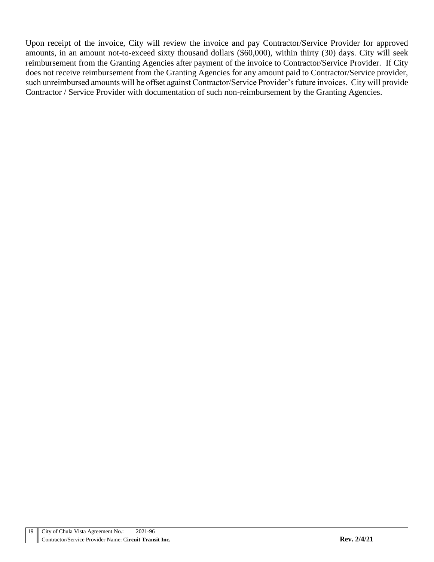Upon receipt of the invoice, City will review the invoice and pay Contractor/Service Provider for approved amounts, in an amount not-to-exceed sixty thousand dollars (\$60,000), within thirty (30) days. City will seek reimbursement from the Granting Agencies after payment of the invoice to Contractor/Service Provider. If City does not receive reimbursement from the Granting Agencies for any amount paid to Contractor/Service provider, such unreimbursed amounts will be offset against Contractor/Service Provider's future invoices. City will provide Contractor / Service Provider with documentation of such non-reimbursement by the Granting Agencies.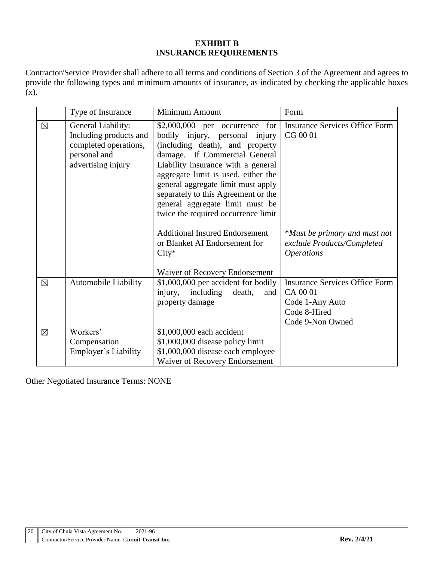#### **EXHIBIT B INSURANCE REQUIREMENTS**

Contractor/Service Provider shall adhere to all terms and conditions of Section 3 of the Agreement and agrees to provide the following types and minimum amounts of insurance, as indicated by checking the applicable boxes (x).

|             | Type of Insurance                                                                                           | Minimum Amount                                                                                                                                                                                                                                                                                                                                                              | Form                                                                                                     |
|-------------|-------------------------------------------------------------------------------------------------------------|-----------------------------------------------------------------------------------------------------------------------------------------------------------------------------------------------------------------------------------------------------------------------------------------------------------------------------------------------------------------------------|----------------------------------------------------------------------------------------------------------|
| $\boxtimes$ | General Liability:<br>Including products and<br>completed operations,<br>personal and<br>advertising injury | for<br>\$2,000,000 per occurrence<br>bodily injury, personal injury<br>(including death), and property<br>damage. If Commercial General<br>Liability insurance with a general<br>aggregate limit is used, either the<br>general aggregate limit must apply<br>separately to this Agreement or the<br>general aggregate limit must be<br>twice the required occurrence limit | <b>Insurance Services Office Form</b><br>CG 00 01                                                        |
|             |                                                                                                             | <b>Additional Insured Endorsement</b><br>or Blanket AI Endorsement for<br>$City*$<br>Waiver of Recovery Endorsement                                                                                                                                                                                                                                                         | *Must be primary and must not<br>exclude Products/Completed<br><i><b>Operations</b></i>                  |
| $\boxtimes$ | <b>Automobile Liability</b>                                                                                 | \$1,000,000 per accident for bodily<br>injury,<br>including<br>death,<br>and<br>property damage                                                                                                                                                                                                                                                                             | <b>Insurance Services Office Form</b><br>CA 00 01<br>Code 1-Any Auto<br>Code 8-Hired<br>Code 9-Non Owned |
| $\boxtimes$ | Workers'<br>Compensation<br>Employer's Liability                                                            | \$1,000,000 each accident<br>\$1,000,000 disease policy limit<br>\$1,000,000 disease each employee<br>Waiver of Recovery Endorsement                                                                                                                                                                                                                                        |                                                                                                          |

Other Negotiated Insurance Terms: NONE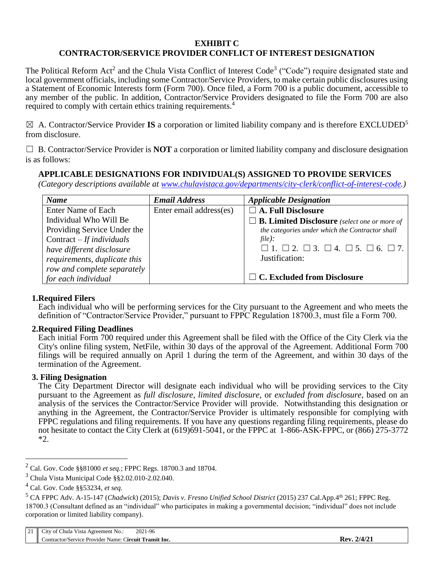#### **EXHIBIT C CONTRACTOR/SERVICE PROVIDER CONFLICT OF INTEREST DESIGNATION**

The Political Reform Act<sup>2</sup> and the Chula Vista Conflict of Interest Code<sup>3</sup> ("Code") require designated state and local government officials, including some Contractor/Service Providers, to make certain public disclosures using a Statement of Economic Interests form (Form 700). Once filed, a Form 700 is a public document, accessible to any member of the public. In addition, Contractor/Service Providers designated to file the Form 700 are also required to comply with certain ethics training requirements.<sup>4</sup>

 $\boxtimes$  A. Contractor/Service Provider **IS** a corporation or limited liability company and is therefore EXCLUDED<sup>5</sup> from disclosure.

 $\Box$  B. Contractor/Service Provider is **NOT** a corporation or limited liability company and disclosure designation is as follows:

### **APPLICABLE DESIGNATIONS FOR INDIVIDUAL(S) ASSIGNED TO PROVIDE SERVICES**

*(Category descriptions available at [www.chulavistaca.gov/departments/city-clerk/conflict-of-interest-code.](http://www.chulavistaca.gov/departments/city-clerk/conflict-of-interest-code))*

| <b>Name</b>                  | <b>Email Address</b>    | <b>Applicable Designation</b>                                         |
|------------------------------|-------------------------|-----------------------------------------------------------------------|
| Enter Name of Each           | Enter email address(es) | $\Box$ A. Full Disclosure                                             |
| Individual Who Will Be       |                         | $\Box$ <b>B. Limited Disclosure</b> (select one or more of            |
| Providing Service Under the  |                         | the categories under which the Contractor shall                       |
| Contract $-If$ individuals   |                         | $file)$ :                                                             |
| have different disclosure    |                         | $\Box$ 1. $\Box$ 2. $\Box$ 3. $\Box$ 4. $\Box$ 5. $\Box$ 6. $\Box$ 7. |
| requirements, duplicate this |                         | Justification:                                                        |
| row and complete separately  |                         |                                                                       |
| for each individual          |                         | $\Box$ C. Excluded from Disclosure                                    |

#### **1.Required Filers**

Each individual who will be performing services for the City pursuant to the Agreement and who meets the definition of "Contractor/Service Provider," pursuant to FPPC Regulation 18700.3, must file a Form 700.

#### **2.Required Filing Deadlines**

Each initial Form 700 required under this Agreement shall be filed with the Office of the City Clerk via the City's online filing system, NetFile, within 30 days of the approval of the Agreement. Additional Form 700 filings will be required annually on April 1 during the term of the Agreement, and within 30 days of the termination of the Agreement.

#### **3. Filing Designation**

The City Department Director will designate each individual who will be providing services to the City pursuant to the Agreement as *full disclosure, limited disclosure,* or *excluded from disclosure*, based on an analysis of the services the Contractor/Service Provider will provide. Notwithstanding this designation or anything in the Agreement, the Contractor/Service Provider is ultimately responsible for complying with FPPC regulations and filing requirements. If you have any questions regarding filing requirements, please do not hesitate to contact the City Clerk at (619)691-5041, or the FPPC at 1-866-ASK-FPPC, or (866) 275-3772 \*2.

 $\overline{a}$ 

<sup>2</sup> Cal. Gov. Code §§81000 *et seq.*; FPPC Regs. 18700.3 and 18704.

<sup>3</sup> Chula Vista Municipal Code §§2.02.010-2.02.040.

<sup>4</sup> Cal. Gov. Code §§53234, *et seq.*

<sup>5</sup> CA FPPC Adv. A-15-147 (*Chadwick*) (2015); *Davis v. Fresno Unified School District* (2015) 237 Cal.App.4th 261; FPPC Reg. 18700.3 (Consultant defined as an "individual" who participates in making a governmental decision; "individual" does not include corporation or limited liability company).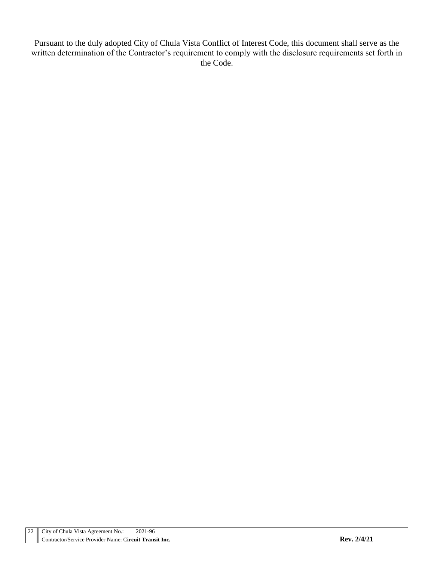Pursuant to the duly adopted City of Chula Vista Conflict of Interest Code, this document shall serve as the written determination of the Contractor's requirement to comply with the disclosure requirements set forth in the Code.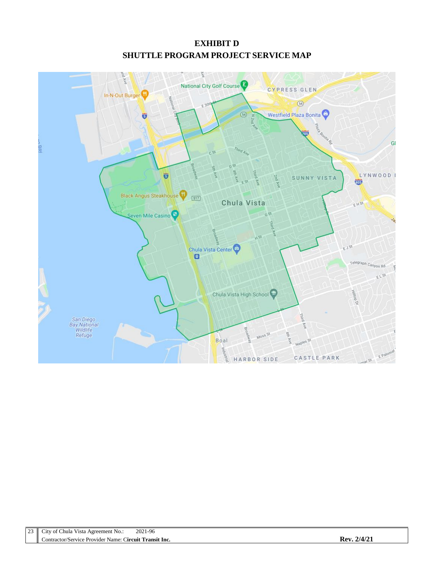# **EXHIBIT D SHUTTLE PROGRAM PROJECT SERVICE MAP**

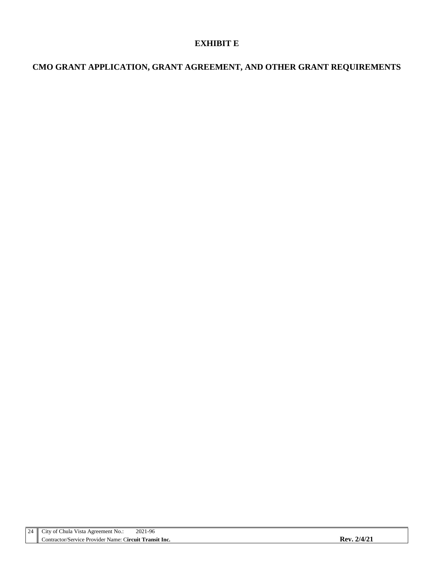## **EXHIBIT E**

# **CMO GRANT APPLICATION, GRANT AGREEMENT, AND OTHER GRANT REQUIREMENTS**